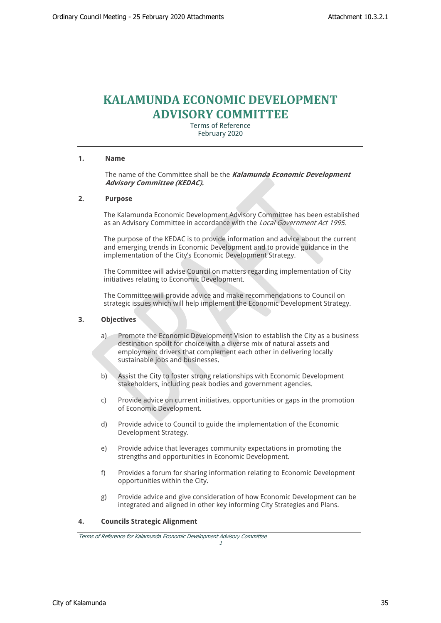# **KALAMUNDA ECONOMIC DEVELOPMENT ADVISORY COMMITTEE**

Terms of Reference February 2020

#### **1. Name**

The name of the Committee shall be the *Kalamunda Economic Development Advisory Committee (KEDAC).*

#### **2. Purpose**

The Kalamunda Economic Development Advisory Committee has been established as an Advisory Committee in accordance with the *Local Government Act 1995*.

The purpose of the KEDAC is to provide information and advice about the current and emerging trends in Economic Development and to provide guidance in the implementation of the City's Economic Development Strategy.

The Committee will advise Council on matters regarding implementation of City initiatives relating to Economic Development.

The Committee will provide advice and make recommendations to Council on strategic issues which will help implement the Economic Development Strategy.

#### **3. Objectives**

- a) Promote the Economic Development Vision to establish the City as a business destination spoilt for choice with a diverse mix of natural assets and employment drivers that complement each other in delivering locally sustainable jobs and businesses.
- b) Assist the City to foster strong relationships with Economic Development stakeholders, including peak bodies and government agencies.
- c) Provide advice on current initiatives, opportunities or gaps in the promotion of Economic Development.
- d) Provide advice to Council to guide the implementation of the Economic Development Strategy.
- e) Provide advice that leverages community expectations in promoting the strengths and opportunities in Economic Development.
- f) Provides a forum for sharing information relating to Economic Development opportunities within the City.
- g) Provide advice and give consideration of how Economic Development can be integrated and aligned in other key informing City Strategies and Plans.

## **4. Councils Strategic Alignment**

*Terms of Reference for Kalamunda Economic Development Advisory Committee*

*1*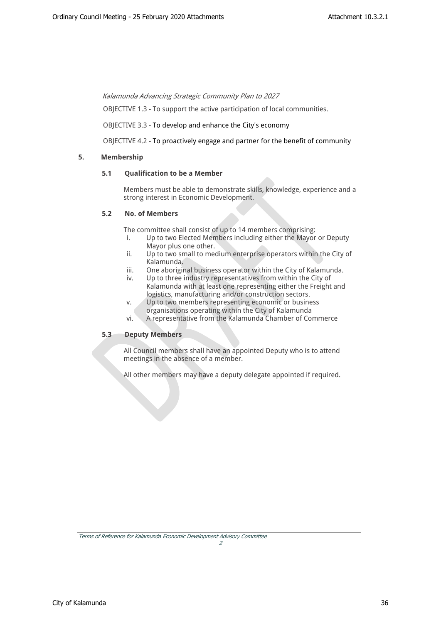*Kalamunda Advancing Strategic Community Plan to 2027* 

OBJECTIVE 1.3 - To support the active participation of local communities.

OBJECTIVE 3.3 - To develop and enhance the City's economy

OBJECTIVE 4.2 - To proactively engage and partner for the benefit of community

## **5. Membership**

## **5.1 Qualification to be a Member**

Members must be able to demonstrate skills, knowledge, experience and a strong interest in Economic Development.

## **5.2 No. of Members**

The committee shall consist of up to 14 members comprising:

- i. Up to two Elected Members including either the Mayor or Deputy Mayor plus one other.
- ii. Up to two small to medium enterprise operators within the City of Kalamunda.
- iii. One aboriginal business operator within the City of Kalamunda.
- iv. Up to three industry representatives from within the City of Kalamunda with at least one representing either the Freight and logistics, manufacturing and/or construction sectors.
- v. Up to two members representing economic or business organisations operating within the City of Kalamunda
- vi. A representative from the Kalamunda Chamber of Commerce

## **5.3 Deputy Members**

All Council members shall have an appointed Deputy who is to attend meetings in the absence of a member.

All other members may have a deputy delegate appointed if required.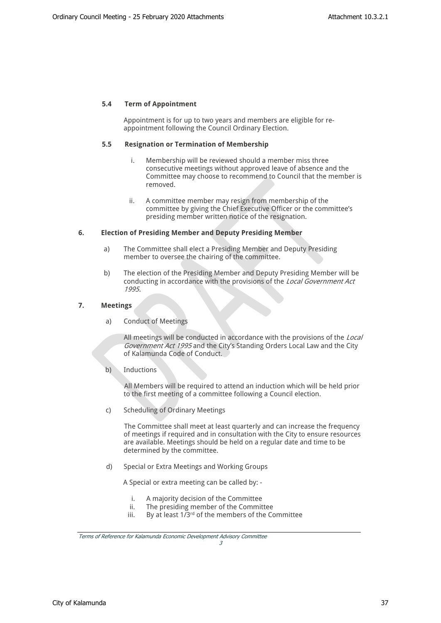## **5.4 Term of Appointment**

Appointment is for up to two years and members are eligible for reappointment following the Council Ordinary Election.

#### **5.5 Resignation or Termination of Membership**

- i. Membership will be reviewed should a member miss three consecutive meetings without approved leave of absence and the Committee may choose to recommend to Council that the member is removed.
- ii. A committee member may resign from membership of the committee by giving the Chief Executive Officer or the committee's presiding member written notice of the resignation.

#### **6. Election of Presiding Member and Deputy Presiding Member**

- a) The Committee shall elect a Presiding Member and Deputy Presiding member to oversee the chairing of the committee.
- b) The election of the Presiding Member and Deputy Presiding Member will be conducting in accordance with the provisions of the *Local Government Act 1995.*

#### **7. Meetings**

a) Conduct of Meetings

All meetings will be conducted in accordance with the provisions of the *Local Government Act 1995* and the City's Standing Orders Local Law and the City of Kalamunda Code of Conduct.

b) Inductions

All Members will be required to attend an induction which will be held prior to the first meeting of a committee following a Council election.

c) Scheduling of Ordinary Meetings

The Committee shall meet at least quarterly and can increase the frequency of meetings if required and in consultation with the City to ensure resources are available. Meetings should be held on a regular date and time to be determined by the committee.

d) Special or Extra Meetings and Working Groups

A Special or extra meeting can be called by: -

- i. A majority decision of the Committee
- ii. The presiding member of the Committee
- iii. By at least  $1/3^{rd}$  of the members of the Committee

*3*

*Terms of Reference for Kalamunda Economic Development Advisory Committee*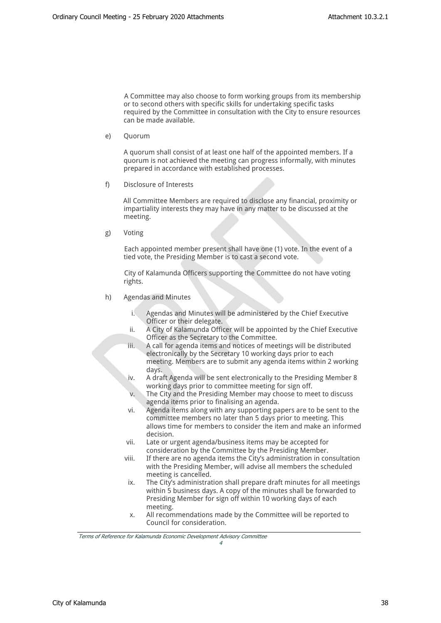A Committee may also choose to form working groups from its membership or to second others with specific skills for undertaking specific tasks required by the Committee in consultation with the City to ensure resources can be made available.

e) Quorum

A quorum shall consist of at least one half of the appointed members. If a quorum is not achieved the meeting can progress informally, with minutes prepared in accordance with established processes.

f) Disclosure of Interests

All Committee Members are required to disclose any financial, proximity or impartiality interests they may have in any matter to be discussed at the meeting.

g) Voting

Each appointed member present shall have one (1) vote. In the event of a tied vote, the Presiding Member is to cast a second vote.

City of Kalamunda Officers supporting the Committee do not have voting rights.

- h) Agendas and Minutes
	- Agendas and Minutes will be administered by the Chief Executive Officer or their delegate.
	- ii. A City of Kalamunda Officer will be appointed by the Chief Executive Officer as the Secretary to the Committee.
	- iii. A call for agenda items and notices of meetings will be distributed electronically by the Secretary 10 working days prior to each meeting. Members are to submit any agenda items within 2 working days.
	- iv. A draft Agenda will be sent electronically to the Presiding Member 8 working days prior to committee meeting for sign off.
	- v. The City and the Presiding Member may choose to meet to discuss agenda items prior to finalising an agenda.
	- vi. Agenda items along with any supporting papers are to be sent to the committee members no later than 5 days prior to meeting. This allows time for members to consider the item and make an informed decision.
	- vii. Late or urgent agenda/business items may be accepted for consideration by the Committee by the Presiding Member.
	- viii. If there are no agenda items the City's administration in consultation with the Presiding Member, will advise all members the scheduled meeting is cancelled.
	- ix. The City's administration shall prepare draft minutes for all meetings within 5 business days. A copy of the minutes shall be forwarded to Presiding Member for sign off within 10 working days of each meeting.
	- x. All recommendations made by the Committee will be reported to Council for consideration.

*4*

*Terms of Reference for Kalamunda Economic Development Advisory Committee*